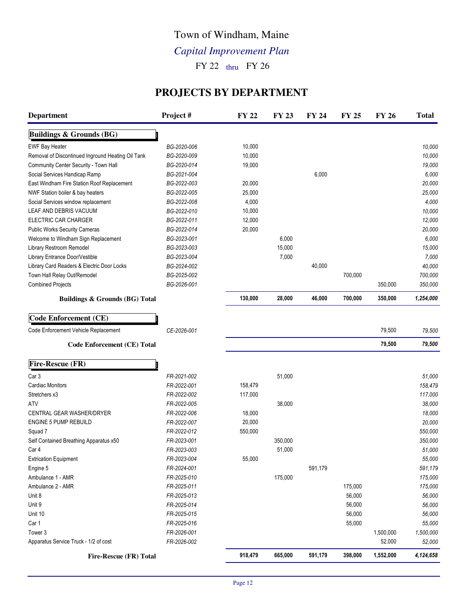# Town of Windham, Maine

# *Capital Improvement Plan*

 $FY 22$  thru  $FY 26$ 

### **PROJECTS BY DEPARTMENT**

| <b>Department</b>                                 | Project#    | <b>FY 22</b> | <b>FY 23</b> | FY 24   | <b>FY 25</b> | <b>FY 26</b> | <b>Total</b> |
|---------------------------------------------------|-------------|--------------|--------------|---------|--------------|--------------|--------------|
| <b>Buildings &amp; Grounds (BG)</b>               |             |              |              |         |              |              |              |
| <b>EWF Bay Heater</b>                             | BG-2020-006 | 10,000       |              |         |              |              | 10,000       |
| Removal of Discontinued Inground Heating Oil Tank | BG-2020-009 | 10,000       |              |         |              |              | 10,000       |
| Community Center Security - Town Hall             | BG-2020-014 | 19,000       |              |         |              |              | 19,000       |
| Social Services Handicap Ramp                     | BG-2021-004 |              |              | 6,000   |              |              | 6,000        |
| East Windham Fire Station Roof Replacement        | BG-2022-003 | 20,000       |              |         |              |              | 20,000       |
| NWF Station boiler & bay heaters                  | BG-2022-005 | 25,000       |              |         |              |              | 25,000       |
| Social Services window replacement                | BG-2022-008 | 4,000        |              |         |              |              | 4,000        |
| LEAF AND DEBRIS VACUUM                            | BG-2022-010 | 10,000       |              |         |              |              | 10,000       |
| <b>ELECTRIC CAR CHARGER</b>                       | BG-2022-011 | 12,000       |              |         |              |              | 12,000       |
| <b>Public Works Security Cameras</b>              | BG-2022-014 | 20,000       |              |         |              |              | 20,000       |
| Welcome to Windham Sign Replacement               | BG-2023-001 |              | 6,000        |         |              |              | 6,000        |
| Library Restroom Remodel                          | BG-2023-003 |              | 15,000       |         |              |              | 15,000       |
| Library Entrance Door/Vestible                    | BG-2023-004 |              | 7,000        |         |              |              | 7,000        |
| Library Card Readers & Electric Door Locks        | BG-2024-002 |              |              | 40,000  |              |              | 40,000       |
| Town Hall Relay Out/Remodel                       | BG-2025-002 |              |              |         | 700,000      |              | 700,000      |
| <b>Combined Projects</b>                          | BG-2026-001 |              |              |         |              | 350,000      | 350,000      |
| <b>Buildings &amp; Grounds (BG) Total</b>         |             | 130,000      | 28,000       | 46,000  | 700,000      | 350,000      | 1,254,000    |
| Code Enforcement (CE)                             |             |              |              |         |              |              |              |
| Code Enforcement Vehicle Replacement              | CE-2026-001 |              |              |         |              | 79,500       | 79,500       |
| <b>Code Enforcement (CE) Total</b>                |             |              |              |         |              | 79,500       | 79,500       |
| Fire-Rescue (FR)                                  |             |              |              |         |              |              |              |
| Car 3                                             | FR-2021-002 |              | 51,000       |         |              |              | 51,000       |
| <b>Cardiac Monitors</b>                           | FR-2022-001 | 158,479      |              |         |              |              | 158,479      |
| Stretchers x3                                     | FR-2022-002 | 117,000      |              |         |              |              | 117,000      |
| <b>ATV</b>                                        | FR-2022-005 |              | 38,000       |         |              |              | 38,000       |
| <b>CENTRAL GEAR WASHER/DRYER</b>                  | FR-2022-006 | 18,000       |              |         |              |              | 18,000       |
| <b>ENGINE 5 PUMP REBUILD</b>                      | FR-2022-007 | 20,000       |              |         |              |              | 20,000       |
| Squad 7                                           | FR-2022-012 | 550,000      |              |         |              |              | 550,000      |
| Self Contained Breathing Apparatus x50            | FR-2023-001 |              | 350,000      |         |              |              | 350,000      |
| Car 4                                             | FR-2023-003 |              | 51,000       |         |              |              | 51,000       |
| <b>Extrication Equipment</b>                      | FR-2023-004 | 55,000       |              |         |              |              | 55,000       |
| Engine 5                                          | FR-2024-001 |              |              | 591,179 |              |              | 591,179      |
| Ambulance 1 - AMR                                 | FR-2025-010 |              | 175,000      |         |              |              | 175,000      |
| Ambulance 2 - AMR                                 | FR-2025-011 |              |              |         | 175,000      |              | 175,000      |
| Unit 8                                            | FR-2025-013 |              |              |         | 56,000       |              | 56,000       |
| Unit 9                                            | FR-2025-014 |              |              |         | 56,000       |              | 56,000       |
| Unit 10                                           | FR-2025-015 |              |              |         | 56,000       |              | 56,000       |
| Car 1                                             | FR-2025-016 |              |              |         | 55,000       |              | 55,000       |
| Tower 3                                           | FR-2026-001 |              |              |         |              | 1,500,000    | 1,500,000    |
| Apparatus Service Truck - 1/2 of cost             | FR-2026-002 |              |              |         |              | 52,000       | 52,000       |
| Fire-Rescue (FR) Total                            |             | 918,479      | 665,000      | 591,179 | 398,000      | 1,552,000    | 4,124,658    |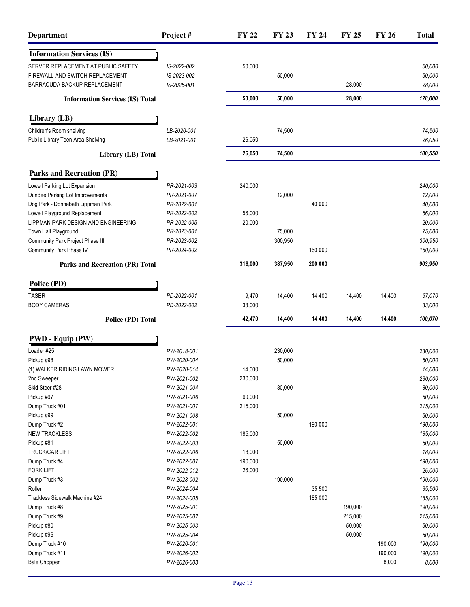| <b>Department</b>                      | Project#    | <b>FY 22</b> | <b>FY 23</b> | FY 24   | <b>FY 25</b> | <b>FY 26</b> | <b>Total</b> |
|----------------------------------------|-------------|--------------|--------------|---------|--------------|--------------|--------------|
| <b>Information Services (IS)</b>       |             |              |              |         |              |              |              |
| SERVER REPLACEMENT AT PUBLIC SAFETY    | IS-2022-002 | 50,000       |              |         |              |              | 50,000       |
| FIREWALL AND SWITCH REPLACEMENT        | IS-2023-002 |              | 50,000       |         |              |              | 50,000       |
| BARRACUDA BACKUP REPLACEMENT           | IS-2025-001 |              |              |         | 28,000       |              | 28,000       |
| <b>Information Services (IS) Total</b> |             | 50,000       | 50,000       |         | 28,000       |              | 128,000      |
| Library (LB)                           |             |              |              |         |              |              |              |
| Children's Room shelving               | LB-2020-001 |              | 74,500       |         |              |              | 74,500       |
| Public Library Teen Area Shelving      | LB-2021-001 | 26,050       |              |         |              |              | 26,050       |
| Library (LB) Total                     |             | 26,050       | 74,500       |         |              |              | 100,550      |
| <b>Parks and Recreation (PR)</b>       |             |              |              |         |              |              |              |
| Lowell Parking Lot Expansion           | PR-2021-003 | 240,000      |              |         |              |              | 240,000      |
| Dundee Parking Lot Improvements        | PR-2021-007 |              | 12,000       |         |              |              | 12,000       |
| Dog Park - Donnabeth Lippman Park      | PR-2022-001 |              |              | 40,000  |              |              | 40,000       |
| Lowell Playground Replacement          | PR-2022-002 | 56,000       |              |         |              |              | 56,000       |
| LIPPMAN PARK DESIGN AND ENGINEERING    | PR-2022-005 | 20,000       |              |         |              |              | 20,000       |
| Town Hall Playground                   | PR-2023-001 |              | 75,000       |         |              |              | 75,000       |
| Community Park Project Phase III       | PR-2023-002 |              | 300,950      |         |              |              | 300,950      |
| Community Park Phase IV                | PR-2024-002 |              |              | 160,000 |              |              | 160,000      |
| <b>Parks and Recreation (PR) Total</b> |             | 316,000      | 387,950      | 200,000 |              |              | 903,950      |
| Police (PD)                            |             |              |              |         |              |              |              |
|                                        |             |              |              |         |              |              |              |
| <b>TASER</b>                           | PD-2022-001 | 9,470        | 14,400       | 14,400  | 14,400       | 14,400       | 67,070       |
| <b>BODY CAMERAS</b>                    | PD-2022-002 | 33,000       |              |         |              |              | 33,000       |
| Police (PD) Total                      |             | 42,470       | 14,400       | 14,400  | 14,400       | 14,400       | 100,070      |
| PWD - Equip (PW)                       |             |              |              |         |              |              |              |
| Loader #25                             | PW-2018-001 |              | 230,000      |         |              |              | 230,000      |
| Pickup #98                             | PW-2020-004 |              | 50,000       |         |              |              | 50,000       |
| (1) WALKER RIDING LAWN MOWER           | PW-2020-014 | 14,000       |              |         |              |              | 14,000       |
| 2nd Sweeper                            | PW-2021-002 | 230,000      |              |         |              |              | 230,000      |
| Skid Steer #28                         | PW-2021-004 |              | 80,000       |         |              |              | 80,000       |
| Pickup #97                             | PW-2021-006 | 60,000       |              |         |              |              | 60,000       |
| Dump Truck #01                         | PW-2021-007 | 215,000      |              |         |              |              | 215,000      |
| Pickup #99                             | PW-2021-008 |              | 50,000       |         |              |              | 50,000       |
| Dump Truck #2                          | PW-2022-001 |              |              | 190,000 |              |              | 190,000      |
| <b>NEW TRACKLESS</b>                   | PW-2022-002 | 185,000      |              |         |              |              | 185,000      |
| Pickup #81                             | PW-2022-003 |              | 50,000       |         |              |              | 50,000       |
| <b>TRUCK/CAR LIFT</b>                  | PW-2022-006 | 18,000       |              |         |              |              | 18,000       |
| Dump Truck #4                          | PW-2022-007 | 190,000      |              |         |              |              | 190,000      |
| <b>FORK LIFT</b>                       | PW-2022-012 | 26,000       |              |         |              |              | 26,000       |
| Dump Truck #3                          | PW-2023-002 |              | 190,000      |         |              |              | 190,000      |
| Roller                                 | PW-2024-004 |              |              | 35,500  |              |              | 35,500       |
| Trackless Sidewalk Machine #24         | PW-2024-005 |              |              | 185,000 |              |              | 185,000      |
| Dump Truck #8                          | PW-2025-001 |              |              |         | 190,000      |              | 190,000      |
| Dump Truck #9                          | PW-2025-002 |              |              |         | 215,000      |              | 215,000      |
| Pickup #80                             | PW-2025-003 |              |              |         | 50,000       |              | 50,000       |
| Pickup #96                             | PW-2025-004 |              |              |         | 50,000       |              | 50,000       |
| Dump Truck #10                         | PW-2026-001 |              |              |         |              | 190,000      | 190,000      |
| Dump Truck #11                         | PW-2026-002 |              |              |         |              | 190,000      | 190,000      |
| <b>Bale Chopper</b>                    | PW-2026-003 |              |              |         |              | 8,000        | 8,000        |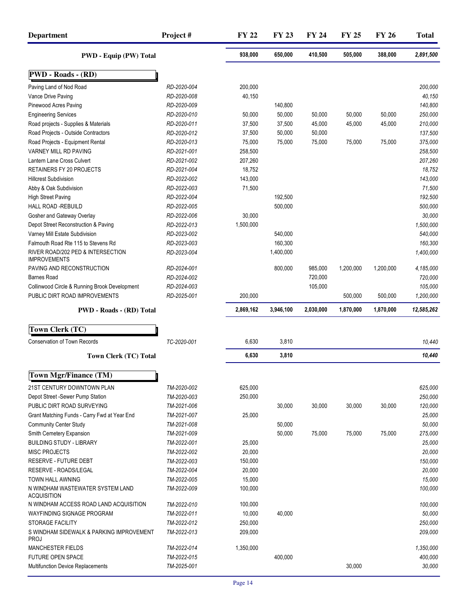| <b>Department</b>                                       | Project#    | <b>FY 22</b> | <b>FY 23</b> | <b>FY 24</b> | <b>FY 25</b> | <b>FY 26</b> | <b>Total</b> |
|---------------------------------------------------------|-------------|--------------|--------------|--------------|--------------|--------------|--------------|
| <b>PWD - Equip (PW) Total</b>                           |             | 938,000      | 650,000      | 410,500      | 505,000      | 388,000      | 2,891,500    |
| <b>PWD - Roads - (RD)</b>                               |             |              |              |              |              |              |              |
| Paving Land of Nod Road                                 | RD-2020-004 | 200,000      |              |              |              |              | 200,000      |
| Vance Drive Paving                                      | RD-2020-008 | 40,150       |              |              |              |              | 40,150       |
| Pinewood Acres Paving                                   | RD-2020-009 |              | 140,800      |              |              |              | 140,800      |
| <b>Engineering Services</b>                             | RD-2020-010 | 50,000       | 50,000       | 50,000       | 50,000       | 50,000       | 250,000      |
| Road projects - Supplies & Materials                    | RD-2020-011 | 37,500       | 37,500       | 45,000       | 45,000       | 45,000       | 210,000      |
| Road Projects - Outside Contractors                     | RD-2020-012 | 37,500       | 50,000       | 50,000       |              |              | 137,500      |
| Road Projects - Equipment Rental                        | RD-2020-013 | 75,000       | 75,000       | 75,000       | 75,000       | 75,000       | 375,000      |
| VARNEY MILL RD PAVING                                   | RD-2021-001 | 258,500      |              |              |              |              | 258,500      |
| Lantern Lane Cross Culvert                              | RD-2021-002 | 207,260      |              |              |              |              | 207,260      |
| RETAINERS FY 20 PROJECTS                                | RD-2021-004 | 18,752       |              |              |              |              | 18,752       |
| <b>Hillcrest Subdivision</b>                            | RD-2022-002 | 143,000      |              |              |              |              | 143,000      |
| Abby & Oak Subdivision                                  | RD-2022-003 | 71,500       |              |              |              |              | 71,500       |
| <b>High Street Paving</b>                               | RD-2022-004 |              | 192,500      |              |              |              | 192,500      |
| HALL ROAD -REBUILD                                      | RD-2022-005 |              | 500,000      |              |              |              | 500,000      |
| Gosher and Gateway Overlay                              | RD-2022-006 | 30,000       |              |              |              |              | 30,000       |
| Depot Street Reconstruction & Paving                    | RD-2022-013 | 1,500,000    |              |              |              |              | 1,500,000    |
| Varney Mill Estate Subdivision                          | RD-2023-002 |              | 540,000      |              |              |              | 540,000      |
| Falmouth Road Rte 115 to Stevens Rd                     | RD-2023-003 |              | 160,300      |              |              |              | 160,300      |
| RIVER ROAD/202 PED & INTERSECTION                       | RD-2023-004 |              | 1,400,000    |              |              |              | 1,400,000    |
| <b>IMPROVEMENTS</b>                                     |             |              |              |              |              |              |              |
| PAVING AND RECONSTRUCTION                               | RD-2024-001 |              | 800,000      | 985,000      | 1,200,000    | 1,200,000    | 4,185,000    |
| <b>Barnes Road</b>                                      | RD-2024-002 |              |              | 720,000      |              |              | 720,000      |
| Collinwood Circle & Running Brook Development           | RD-2024-003 |              |              | 105,000      |              |              | 105,000      |
| PUBLIC DIRT ROAD IMPROVEMENTS                           | RD-2025-001 | 200,000      |              |              | 500,000      | 500,000      | 1,200,000    |
| <b>PWD - Roads - (RD) Total</b>                         |             | 2,869,162    | 3,946,100    | 2,030,000    | 1,870,000    | 1,870,000    | 12,585,262   |
| Town Clerk (TC)                                         |             |              |              |              |              |              |              |
| <b>Conservation of Town Records</b>                     | TC-2020-001 | 6,630        | 3,810        |              |              |              | 10,440       |
| <b>Town Clerk (TC) Total</b>                            |             | 6,630        | 3,810        |              |              |              | 10,440       |
| <b>Town Mgr/Finance (TM)</b>                            |             |              |              |              |              |              |              |
|                                                         |             |              |              |              |              |              |              |
| 21ST CENTURY DOWNTOWN PLAN                              | TM-2020-002 | 625,000      |              |              |              |              | 625,000      |
| Depot Street -Sewer Pump Station                        | TM-2020-003 | 250,000      |              |              |              |              | 250,000      |
| PUBLIC DIRT ROAD SURVEYING                              | TM-2021-006 |              | 30,000       | 30,000       | 30,000       | 30,000       | 120,000      |
| Grant Matching Funds - Carry Fwd at Year End            | TM-2021-007 | 25,000       |              |              |              |              | 25,000       |
| <b>Community Center Study</b>                           | TM-2021-008 |              | 50,000       |              |              |              | 50,000       |
| Smith Cemetery Expansion                                | TM-2021-009 |              | 50,000       | 75,000       | 75,000       | 75,000       | 275,000      |
| <b>BUILDING STUDY - LIBRARY</b>                         | TM-2022-001 | 25,000       |              |              |              |              | 25,000       |
| <b>MISC PROJECTS</b>                                    | TM-2022-002 | 20,000       |              |              |              |              | 20,000       |
| <b>RESERVE - FUTURE DEBT</b>                            | TM-2022-003 | 150,000      |              |              |              |              | 150,000      |
| <b>RESERVE - ROADS/LEGAL</b>                            | TM-2022-004 | 20,000       |              |              |              |              | 20,000       |
| TOWN HALL AWNING                                        | TM-2022-005 | 15,000       |              |              |              |              | 15,000       |
| N WINDHAM WASTEWATER SYSTEM LAND<br><b>ACQUISITION</b>  | TM-2022-009 | 100,000      |              |              |              |              | 100,000      |
| N WINDHAM ACCESS ROAD LAND ACQUISITION                  | TM-2022-010 | 100,000      |              |              |              |              | 100,000      |
| <b>WAYFINDING SIGNAGE PROGRAM</b>                       | TM-2022-011 | 10,000       | 40,000       |              |              |              | 50,000       |
| <b>STORAGE FACILITY</b>                                 | TM-2022-012 | 250,000      |              |              |              |              | 250,000      |
| S WINDHAM SIDEWALK & PARKING IMPROVEMENT<br><b>PROJ</b> | TM-2022-013 | 209,000      |              |              |              |              | 209,000      |
| <b>MANCHESTER FIELDS</b>                                | TM-2022-014 | 1,350,000    |              |              |              |              | 1,350,000    |
| <b>FUTURE OPEN SPACE</b>                                | TM-2022-015 |              | 400,000      |              |              |              | 400,000      |
| <b>Multifunction Device Replacements</b>                | TM-2025-001 |              |              |              | 30,000       |              | 30,000       |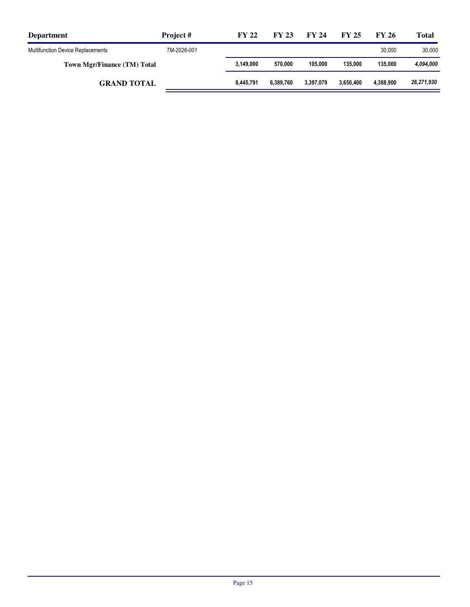| <b>Department</b>                        | Project #   | <b>FY 22</b> | <b>FY 23</b> | FY 24     | <b>FY 25</b> | FY 26     | <b>Total</b> |
|------------------------------------------|-------------|--------------|--------------|-----------|--------------|-----------|--------------|
| <b>Multifunction Device Replacements</b> | TM-2026-001 |              |              |           |              | 30.000    | 30.000       |
| Town Mgr/Finance (TM) Total              |             | 3.149.000    | 570.000      | 105.000   | 135.000      | 135.000   | 4,094,000    |
| <b>GRAND TOTAL</b>                       |             | 8,445,791    | 6.389.760    | 3.397.079 | 3.650.400    | 4.388.900 | 26,271,930   |